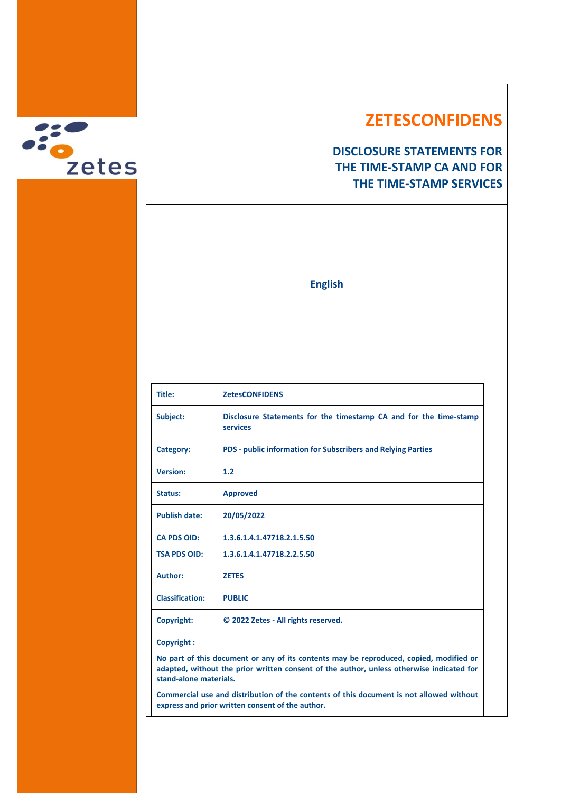

# **ZETESCONFIDENS**

## **DISCLOSURE STATEMENTS FOR THE TIME-STAMP CA AND FOR THE TIME-STAMP SERVICES**

**English**

| Title:                 | <b>ZetesCONFIDENS</b>                                               |
|------------------------|---------------------------------------------------------------------|
| Subject:               | Disclosure Statements for the timestamp CA and for the time-stamp   |
|                        | services                                                            |
| Category:              | <b>PDS - public information for Subscribers and Relying Parties</b> |
| <b>Version:</b>        | 1.2                                                                 |
| Status:                | <b>Approved</b>                                                     |
| <b>Publish date:</b>   | 20/05/2022                                                          |
| <b>CA PDS OID:</b>     | 1.3.6.1.4.1.47718.2.1.5.50                                          |
| <b>TSA PDS OID:</b>    | 1.3.6.1.4.1.47718.2.2.5.50                                          |
| Author:                | <b>ZETES</b>                                                        |
| <b>Classification:</b> | <b>PUBLIC</b>                                                       |
| Copyright:             | © 2022 Zetes - All rights reserved.                                 |
|                        |                                                                     |

#### **Copyright :**

**No part of this document or any of its contents may be reproduced, copied, modified or adapted, without the prior written consent of the author, unless otherwise indicated for stand-alone materials.**

**Commercial use and distribution of the contents of this document is not allowed without express and prior written consent of the author.**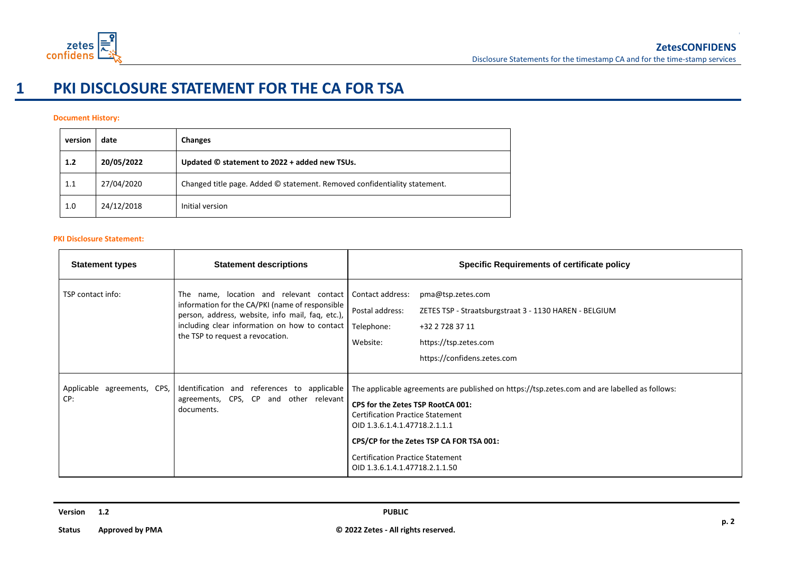

# **1 PKI DISCLOSURE STATEMENT FOR THE CA FOR TSA**

### **Document History:**

| version | date       | <b>Changes</b>                                                            |
|---------|------------|---------------------------------------------------------------------------|
| 1.2     | 20/05/2022 | Updated © statement to 2022 + added new TSUs.                             |
| 1.1     | 27/04/2020 | Changed title page. Added © statement. Removed confidentiality statement. |
| 1.0     | 24/12/2018 | Initial version                                                           |

#### **PKI Disclosure Statement:**

| <b>Statement types</b>             | <b>Statement descriptions</b>                                                                                                                                                                                                       | <b>Specific Requirements of certificate policy</b>                                                                                                                                                                                                                                                                                      |
|------------------------------------|-------------------------------------------------------------------------------------------------------------------------------------------------------------------------------------------------------------------------------------|-----------------------------------------------------------------------------------------------------------------------------------------------------------------------------------------------------------------------------------------------------------------------------------------------------------------------------------------|
| TSP contact info:                  | The name, location and relevant contact<br>information for the CA/PKI (name of responsible<br>person, address, website, info mail, faq, etc.),<br>including clear information on how to contact<br>the TSP to request a revocation. | Contact address:<br>pma@tsp.zetes.com<br>Postal address:<br>ZETES TSP - Straatsburgstraat 3 - 1130 HAREN - BELGIUM<br>Telephone:<br>+32 2 728 37 11<br>https://tsp.zetes.com<br>Website:<br>https://confidens.zetes.com                                                                                                                 |
| Applicable agreements, CPS,<br>CP: | Identification and references to applicable<br>agreements, CPS, CP and other relevant<br>documents.                                                                                                                                 | The applicable agreements are published on https://tsp.zetes.com and are labelled as follows:<br>CPS for the Zetes TSP RootCA 001:<br><b>Certification Practice Statement</b><br>OID 1.3.6.1.4.1.47718.2.1.1.1<br>CPS/CP for the Zetes TSP CA FOR TSA 001:<br><b>Certification Practice Statement</b><br>OID 1.3.6.1.4.1.47718.2.1.1.50 |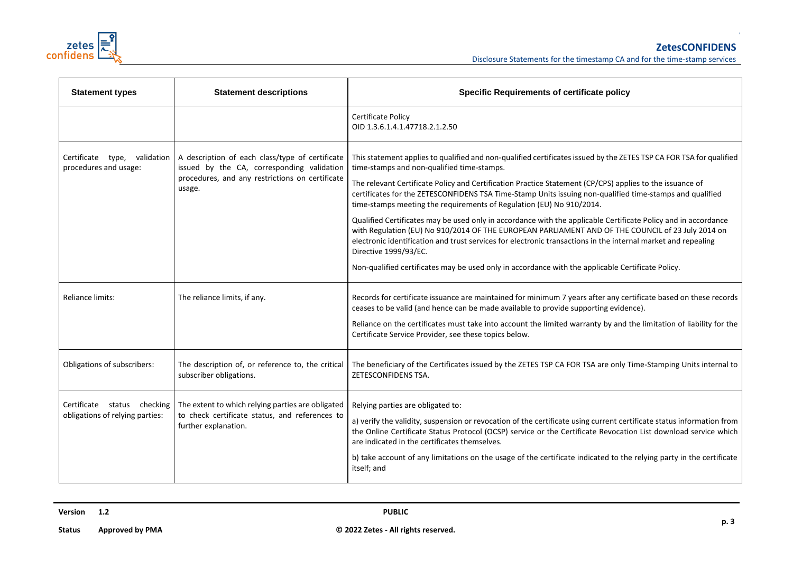

| <b>Statement types</b>                                         | <b>Statement descriptions</b>                                                                                                                              | <b>Specific Requirements of certificate policy</b>                                                                                                                                                                                                                                                                                                                                                                                                                                                                                                                                                                                                                                                                                                                                                                                                                                                                                      |
|----------------------------------------------------------------|------------------------------------------------------------------------------------------------------------------------------------------------------------|-----------------------------------------------------------------------------------------------------------------------------------------------------------------------------------------------------------------------------------------------------------------------------------------------------------------------------------------------------------------------------------------------------------------------------------------------------------------------------------------------------------------------------------------------------------------------------------------------------------------------------------------------------------------------------------------------------------------------------------------------------------------------------------------------------------------------------------------------------------------------------------------------------------------------------------------|
|                                                                |                                                                                                                                                            | Certificate Policy<br>OID 1.3.6.1.4.1.47718.2.1.2.50                                                                                                                                                                                                                                                                                                                                                                                                                                                                                                                                                                                                                                                                                                                                                                                                                                                                                    |
| Certificate type, validation<br>procedures and usage:          | A description of each class/type of certificate<br>issued by the CA, corresponding validation<br>procedures, and any restrictions on certificate<br>usage. | This statement applies to qualified and non-qualified certificates issued by the ZETES TSP CA FOR TSA for qualified<br>time-stamps and non-qualified time-stamps.<br>The relevant Certificate Policy and Certification Practice Statement (CP/CPS) applies to the issuance of<br>certificates for the ZETESCONFIDENS TSA Time-Stamp Units issuing non-qualified time-stamps and qualified<br>time-stamps meeting the requirements of Regulation (EU) No 910/2014.<br>Qualified Certificates may be used only in accordance with the applicable Certificate Policy and in accordance<br>with Regulation (EU) No 910/2014 OF THE EUROPEAN PARLIAMENT AND OF THE COUNCIL of 23 July 2014 on<br>electronic identification and trust services for electronic transactions in the internal market and repealing<br>Directive 1999/93/EC.<br>Non-qualified certificates may be used only in accordance with the applicable Certificate Policy. |
| Reliance limits:                                               | The reliance limits, if any.                                                                                                                               | Records for certificate issuance are maintained for minimum 7 years after any certificate based on these records<br>ceases to be valid (and hence can be made available to provide supporting evidence).<br>Reliance on the certificates must take into account the limited warranty by and the limitation of liability for the<br>Certificate Service Provider, see these topics below.                                                                                                                                                                                                                                                                                                                                                                                                                                                                                                                                                |
| Obligations of subscribers:                                    | The description of, or reference to, the critical<br>subscriber obligations.                                                                               | The beneficiary of the Certificates issued by the ZETES TSP CA FOR TSA are only Time-Stamping Units internal to<br>ZETESCONFIDENS TSA.                                                                                                                                                                                                                                                                                                                                                                                                                                                                                                                                                                                                                                                                                                                                                                                                  |
| Certificate status checking<br>obligations of relying parties: | The extent to which relying parties are obligated<br>to check certificate status, and references to<br>further explanation.                                | Relying parties are obligated to:<br>a) verify the validity, suspension or revocation of the certificate using current certificate status information from<br>the Online Certificate Status Protocol (OCSP) service or the Certificate Revocation List download service which<br>are indicated in the certificates themselves.<br>b) take account of any limitations on the usage of the certificate indicated to the relying party in the certificate<br>itself; and                                                                                                                                                                                                                                                                                                                                                                                                                                                                   |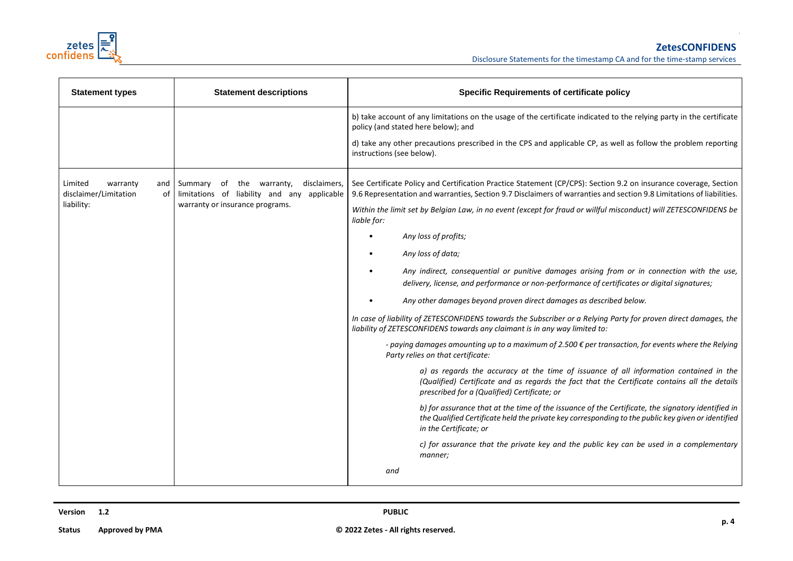

| <b>Statement types</b>                                                  | <b>Statement descriptions</b>                                                           | <b>Specific Requirements of certificate policy</b>                                                                                                                                                                                       |  |  |
|-------------------------------------------------------------------------|-----------------------------------------------------------------------------------------|------------------------------------------------------------------------------------------------------------------------------------------------------------------------------------------------------------------------------------------|--|--|
|                                                                         |                                                                                         | b) take account of any limitations on the usage of the certificate indicated to the relying party in the certificate<br>policy (and stated here below); and                                                                              |  |  |
|                                                                         |                                                                                         | d) take any other precautions prescribed in the CPS and applicable CP, as well as follow the problem reporting<br>instructions (see below).                                                                                              |  |  |
| Limited<br>warranty<br>and<br>disclaimer/Limitation<br>of<br>liability: | disclaimers,<br>Summary of the warranty,<br>limitations of liability and any applicable | See Certificate Policy and Certification Practice Statement (CP/CPS): Section 9.2 on insurance coverage, Section<br>9.6 Representation and warranties, Section 9.7 Disclaimers of warranties and section 9.8 Limitations of liabilities. |  |  |
|                                                                         | warranty or insurance programs.                                                         | Within the limit set by Belgian Law, in no event (except for fraud or willful misconduct) will ZETESCONFIDENS be<br>liable for:                                                                                                          |  |  |
|                                                                         |                                                                                         | Any loss of profits;                                                                                                                                                                                                                     |  |  |
|                                                                         |                                                                                         | Any loss of data;                                                                                                                                                                                                                        |  |  |
|                                                                         |                                                                                         | Any indirect, consequential or punitive damages arising from or in connection with the use,<br>delivery, license, and performance or non-performance of certificates or digital signatures;                                              |  |  |
|                                                                         |                                                                                         | Any other damages beyond proven direct damages as described below.                                                                                                                                                                       |  |  |
|                                                                         |                                                                                         | In case of liability of ZETESCONFIDENS towards the Subscriber or a Relying Party for proven direct damages, the<br>liability of ZETESCONFIDENS towards any claimant is in any way limited to:                                            |  |  |
|                                                                         |                                                                                         | - paying damages amounting up to a maximum of 2.500 € per transaction, for events where the Relying<br>Party relies on that certificate:                                                                                                 |  |  |
|                                                                         |                                                                                         | a) as regards the accuracy at the time of issuance of all information contained in the<br>(Qualified) Certificate and as regards the fact that the Certificate contains all the details<br>prescribed for a (Qualified) Certificate; or  |  |  |
|                                                                         |                                                                                         | b) for assurance that at the time of the issuance of the Certificate, the signatory identified in<br>the Qualified Certificate held the private key corresponding to the public key given or identified<br>in the Certificate; or        |  |  |
|                                                                         |                                                                                         | c) for assurance that the private key and the public key can be used in a complementary<br>manner;                                                                                                                                       |  |  |
|                                                                         |                                                                                         | and                                                                                                                                                                                                                                      |  |  |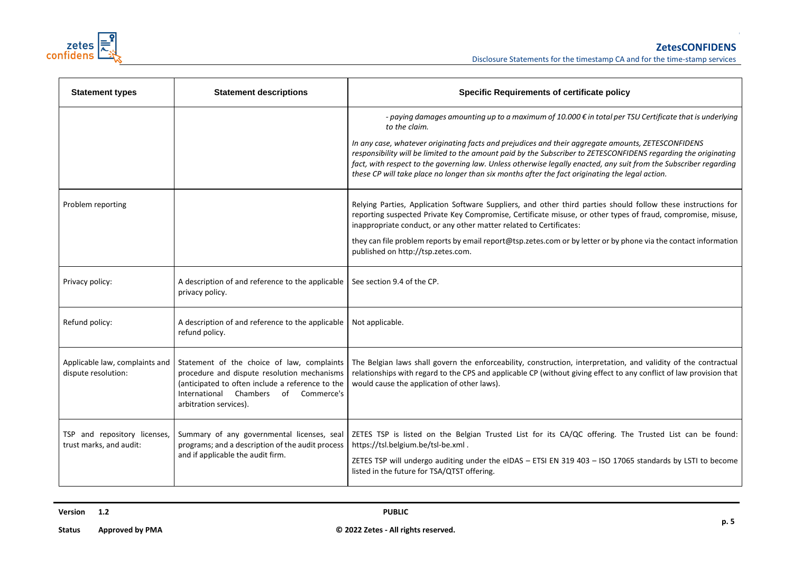

| <b>Statement types</b>                                  | <b>Statement descriptions</b>                                                                                                                                                                                                                          | <b>Specific Requirements of certificate policy</b>                                                                                                                                                                                                                                                                                                                                                                                            |
|---------------------------------------------------------|--------------------------------------------------------------------------------------------------------------------------------------------------------------------------------------------------------------------------------------------------------|-----------------------------------------------------------------------------------------------------------------------------------------------------------------------------------------------------------------------------------------------------------------------------------------------------------------------------------------------------------------------------------------------------------------------------------------------|
|                                                         |                                                                                                                                                                                                                                                        | - paying damages amounting up to a maximum of 10.000 € in total per TSU Certificate that is underlying<br>to the claim.                                                                                                                                                                                                                                                                                                                       |
|                                                         |                                                                                                                                                                                                                                                        | In any case, whatever originating facts and prejudices and their aggregate amounts, ZETESCONFIDENS<br>responsibility will be limited to the amount paid by the Subscriber to ZETESCONFIDENS regarding the originating<br>fact, with respect to the governing law. Unless otherwise legally enacted, any suit from the Subscriber regarding<br>these CP will take place no longer than six months after the fact originating the legal action. |
| Problem reporting                                       |                                                                                                                                                                                                                                                        | Relying Parties, Application Software Suppliers, and other third parties should follow these instructions for<br>reporting suspected Private Key Compromise, Certificate misuse, or other types of fraud, compromise, misuse,<br>inappropriate conduct, or any other matter related to Certificates:                                                                                                                                          |
|                                                         |                                                                                                                                                                                                                                                        | they can file problem reports by email report@tsp.zetes.com or by letter or by phone via the contact information<br>published on http://tsp.zetes.com.                                                                                                                                                                                                                                                                                        |
| Privacy policy:                                         | A description of and reference to the applicable<br>privacy policy.                                                                                                                                                                                    | See section 9.4 of the CP.                                                                                                                                                                                                                                                                                                                                                                                                                    |
| Refund policy:                                          | A description of and reference to the applicable<br>refund policy.                                                                                                                                                                                     | Not applicable.                                                                                                                                                                                                                                                                                                                                                                                                                               |
| dispute resolution:                                     | Applicable law, complaints and $\vert$ Statement of the choice of law, complaints<br>procedure and dispute resolution mechanisms<br>(anticipated to often include a reference to the<br>International Chambers of Commerce's<br>arbitration services). | The Belgian laws shall govern the enforceability, construction, interpretation, and validity of the contractual<br>relationships with regard to the CPS and applicable CP (without giving effect to any conflict of law provision that<br>would cause the application of other laws).                                                                                                                                                         |
| TSP and repository licenses,<br>trust marks, and audit: | Summary of any governmental licenses, seal<br>programs; and a description of the audit process<br>and if applicable the audit firm.                                                                                                                    | ZETES TSP is listed on the Belgian Trusted List for its CA/QC offering. The Trusted List can be found:<br>https://tsl.belgium.be/tsl-be.xml.                                                                                                                                                                                                                                                                                                  |
|                                                         |                                                                                                                                                                                                                                                        | ZETES TSP will undergo auditing under the eIDAS - ETSI EN 319 403 - ISO 17065 standards by LSTI to become<br>listed in the future for TSA/QTST offering.                                                                                                                                                                                                                                                                                      |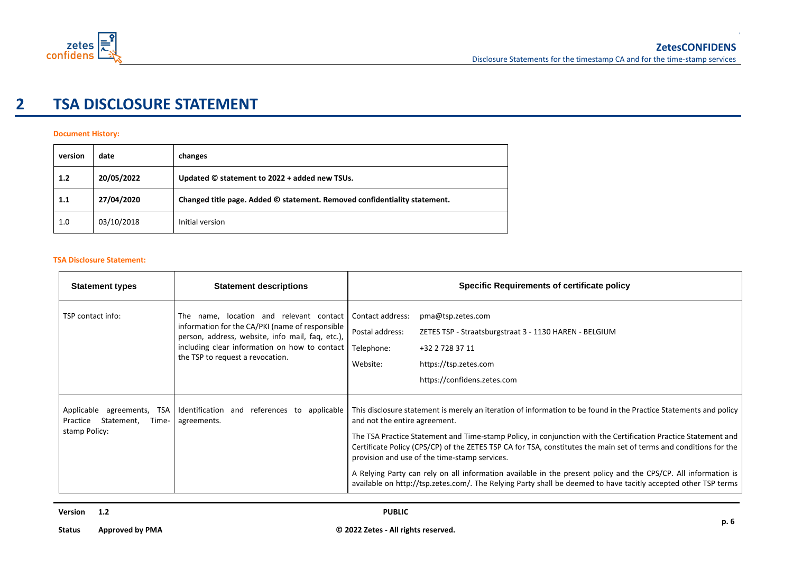

## **2 TSA DISCLOSURE STATEMENT**

### **Document History:**

| version | date       | changes                                                                   |
|---------|------------|---------------------------------------------------------------------------|
| 1.2     | 20/05/2022 | Updated © statement to 2022 + added new TSUs.                             |
| 1.1     | 27/04/2020 | Changed title page. Added © statement. Removed confidentiality statement. |
| 1.0     | 03/10/2018 | Initial version                                                           |

#### **TSA Disclosure Statement:**

| <b>Statement types</b>                                                              | <b>Statement descriptions</b>                                                                                                                                                                                                       | <b>Specific Requirements of certificate policy</b>                                                                                                                                                                                                                                                                                                                                                                                                                                                                                                                                                                                                                             |
|-------------------------------------------------------------------------------------|-------------------------------------------------------------------------------------------------------------------------------------------------------------------------------------------------------------------------------------|--------------------------------------------------------------------------------------------------------------------------------------------------------------------------------------------------------------------------------------------------------------------------------------------------------------------------------------------------------------------------------------------------------------------------------------------------------------------------------------------------------------------------------------------------------------------------------------------------------------------------------------------------------------------------------|
| TSP contact info:                                                                   | The name, location and relevant contact<br>information for the CA/PKI (name of responsible<br>person, address, website, info mail, faq, etc.),<br>including clear information on how to contact<br>the TSP to request a revocation. | Contact address:<br>pma@tsp.zetes.com<br>Postal address:<br>ZETES TSP - Straatsburgstraat 3 - 1130 HAREN - BELGIUM<br>Telephone:<br>+32 2 728 37 11<br>Website:<br>https://tsp.zetes.com<br>https://confidens.zetes.com                                                                                                                                                                                                                                                                                                                                                                                                                                                        |
| Applicable agreements,<br>TSA<br>Statement,<br>Time- I<br>Practice<br>stamp Policy: | Identification and references to applicable<br>agreements.                                                                                                                                                                          | This disclosure statement is merely an iteration of information to be found in the Practice Statements and policy<br>and not the entire agreement.<br>The TSA Practice Statement and Time-stamp Policy, in conjunction with the Certification Practice Statement and<br>Certificate Policy (CPS/CP) of the ZETES TSP CA for TSA, constitutes the main set of terms and conditions for the<br>provision and use of the time-stamp services.<br>A Relying Party can rely on all information available in the present policy and the CPS/CP. All information is<br>available on http://tsp.zetes.com/. The Relying Party shall be deemed to have tacitly accepted other TSP terms |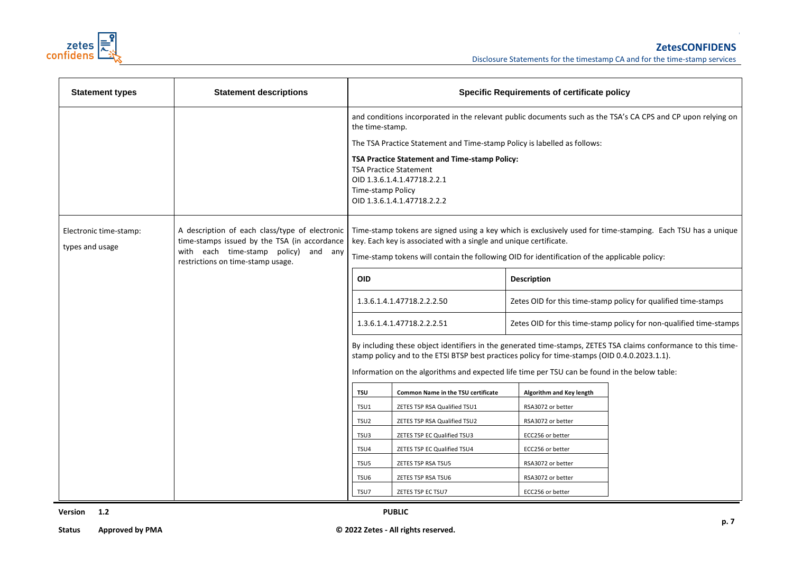

| <b>Statement types</b>                    | <b>Statement descriptions</b>                                                                                                                                               | <b>Specific Requirements of certificate policy</b>                                                                                                                                                                                                                                                                                                                                                                                                              |                                                                                                                                              |                                                                                                                                                                                                              |                                                                                                              |
|-------------------------------------------|-----------------------------------------------------------------------------------------------------------------------------------------------------------------------------|-----------------------------------------------------------------------------------------------------------------------------------------------------------------------------------------------------------------------------------------------------------------------------------------------------------------------------------------------------------------------------------------------------------------------------------------------------------------|----------------------------------------------------------------------------------------------------------------------------------------------|--------------------------------------------------------------------------------------------------------------------------------------------------------------------------------------------------------------|--------------------------------------------------------------------------------------------------------------|
|                                           |                                                                                                                                                                             |                                                                                                                                                                                                                                                                                                                                                                                                                                                                 | the time-stamp.                                                                                                                              |                                                                                                                                                                                                              | and conditions incorporated in the relevant public documents such as the TSA's CA CPS and CP upon relying on |
|                                           |                                                                                                                                                                             | The TSA Practice Statement and Time-stamp Policy is labelled as follows:                                                                                                                                                                                                                                                                                                                                                                                        |                                                                                                                                              |                                                                                                                                                                                                              |                                                                                                              |
|                                           |                                                                                                                                                                             | Time-stamp Policy                                                                                                                                                                                                                                                                                                                                                                                                                                               | TSA Practice Statement and Time-stamp Policy:<br><b>TSA Practice Statement</b><br>OID 1.3.6.1.4.1.47718.2.2.1<br>OID 1.3.6.1.4.1.47718.2.2.2 |                                                                                                                                                                                                              |                                                                                                              |
| Electronic time-stamp:<br>types and usage | A description of each class/type of electronic<br>time-stamps issued by the TSA (in accordance<br>with each time-stamp policy) and any<br>restrictions on time-stamp usage. | key. Each key is associated with a single and unique certificate.<br><b>OID</b><br>1.3.6.1.4.1.47718.2.2.2.50<br>1.3.6.1.4.1.47718.2.2.2.51<br>By including these object identifiers in the generated time-stamps, ZETES TSA claims conformance to this time-<br>stamp policy and to the ETSI BTSP best practices policy for time-stamps (OID 0.4.0.2023.1.1).<br>Information on the algorithms and expected life time per TSU can be found in the below table: |                                                                                                                                              | Time-stamp tokens are signed using a key which is exclusively used for time-stamping. Each TSU has a unique<br>Time-stamp tokens will contain the following OID for identification of the applicable policy: |                                                                                                              |
|                                           |                                                                                                                                                                             |                                                                                                                                                                                                                                                                                                                                                                                                                                                                 |                                                                                                                                              | Description                                                                                                                                                                                                  |                                                                                                              |
|                                           |                                                                                                                                                                             |                                                                                                                                                                                                                                                                                                                                                                                                                                                                 |                                                                                                                                              | Zetes OID for this time-stamp policy for qualified time-stamps                                                                                                                                               |                                                                                                              |
|                                           |                                                                                                                                                                             |                                                                                                                                                                                                                                                                                                                                                                                                                                                                 |                                                                                                                                              | Zetes OID for this time-stamp policy for non-qualified time-stamps                                                                                                                                           |                                                                                                              |
|                                           |                                                                                                                                                                             |                                                                                                                                                                                                                                                                                                                                                                                                                                                                 |                                                                                                                                              |                                                                                                                                                                                                              |                                                                                                              |
|                                           |                                                                                                                                                                             | <b>TSU</b>                                                                                                                                                                                                                                                                                                                                                                                                                                                      | Common Name in the TSU certificate                                                                                                           | Algorithm and Key length                                                                                                                                                                                     |                                                                                                              |
|                                           |                                                                                                                                                                             | TSU1                                                                                                                                                                                                                                                                                                                                                                                                                                                            | ZETES TSP RSA Qualified TSU1                                                                                                                 | RSA3072 or better                                                                                                                                                                                            |                                                                                                              |
|                                           |                                                                                                                                                                             | TSU <sub>2</sub>                                                                                                                                                                                                                                                                                                                                                                                                                                                | ZETES TSP RSA Qualified TSU2                                                                                                                 | RSA3072 or better                                                                                                                                                                                            |                                                                                                              |
|                                           |                                                                                                                                                                             | TSU3                                                                                                                                                                                                                                                                                                                                                                                                                                                            | ZETES TSP EC Qualified TSU3                                                                                                                  | ECC256 or better                                                                                                                                                                                             |                                                                                                              |
|                                           |                                                                                                                                                                             | TSU4                                                                                                                                                                                                                                                                                                                                                                                                                                                            | ZETES TSP EC Qualified TSU4                                                                                                                  | ECC256 or better                                                                                                                                                                                             |                                                                                                              |
|                                           |                                                                                                                                                                             | TSU5                                                                                                                                                                                                                                                                                                                                                                                                                                                            | ZETES TSP RSA TSU5                                                                                                                           | RSA3072 or better                                                                                                                                                                                            |                                                                                                              |
|                                           |                                                                                                                                                                             | TSU6                                                                                                                                                                                                                                                                                                                                                                                                                                                            | ZETES TSP RSA TSU6                                                                                                                           | RSA3072 or better                                                                                                                                                                                            |                                                                                                              |
|                                           |                                                                                                                                                                             | TSU7                                                                                                                                                                                                                                                                                                                                                                                                                                                            | ZETES TSP EC TSU7                                                                                                                            | ECC256 or better                                                                                                                                                                                             |                                                                                                              |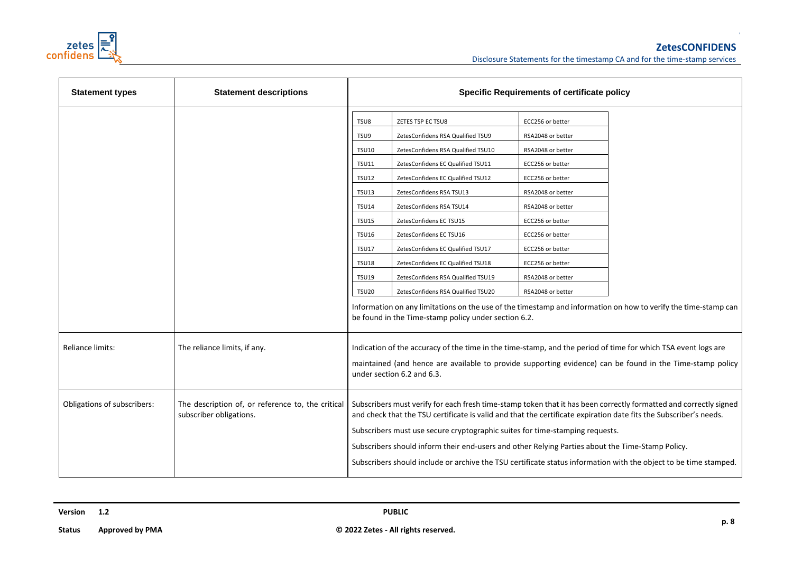

| <b>Statement types</b>      | <b>Statement descriptions</b>                                                | <b>Specific Requirements of certificate policy</b>                                                                                           |                                                                                                                                                                                                                                                                                                                           |                                                                                                                                                                                                          |                                                                                                                                                                                                                                       |
|-----------------------------|------------------------------------------------------------------------------|----------------------------------------------------------------------------------------------------------------------------------------------|---------------------------------------------------------------------------------------------------------------------------------------------------------------------------------------------------------------------------------------------------------------------------------------------------------------------------|----------------------------------------------------------------------------------------------------------------------------------------------------------------------------------------------------------|---------------------------------------------------------------------------------------------------------------------------------------------------------------------------------------------------------------------------------------|
|                             |                                                                              | TSU8<br>TSU9<br><b>TSU10</b><br><b>TSU11</b><br><b>TSU12</b><br><b>TSU13</b><br><b>TSU14</b><br><b>TSU15</b><br><b>TSU16</b><br><b>TSU17</b> | ZETES TSP EC TSU8<br>ZetesConfidens RSA Qualified TSU9<br>ZetesConfidens RSA Qualified TSU10<br>ZetesConfidens EC Qualified TSU11<br>ZetesConfidens EC Qualified TSU12<br>ZetesConfidens RSA TSU13<br>ZetesConfidens RSA TSU14<br>ZetesConfidens EC TSU15<br>ZetesConfidens EC TSU16<br>ZetesConfidens EC Qualified TSU17 | ECC256 or better<br>RSA2048 or better<br>RSA2048 or better<br>ECC256 or better<br>ECC256 or better<br>RSA2048 or better<br>RSA2048 or better<br>ECC256 or better<br>ECC256 or better<br>ECC256 or better |                                                                                                                                                                                                                                       |
|                             |                                                                              | <b>TSU18</b><br><b>TSU19</b><br><b>TSU20</b>                                                                                                 | ZetesConfidens EC Qualified TSU18<br>ZetesConfidens RSA Qualified TSU19<br>ZetesConfidens RSA Qualified TSU20<br>be found in the Time-stamp policy under section 6.2.                                                                                                                                                     | ECC256 or better<br>RSA2048 or better<br>RSA2048 or better                                                                                                                                               | Information on any limitations on the use of the timestamp and information on how to verify the time-stamp can                                                                                                                        |
| <b>Reliance limits:</b>     | The reliance limits, if any.                                                 |                                                                                                                                              | Indication of the accuracy of the time in the time-stamp, and the period of time for which TSA event logs are<br>under section 6.2 and 6.3.                                                                                                                                                                               |                                                                                                                                                                                                          | maintained (and hence are available to provide supporting evidence) can be found in the Time-stamp policy                                                                                                                             |
| Obligations of subscribers: | The description of, or reference to, the critical<br>subscriber obligations. |                                                                                                                                              | and check that the TSU certificate is valid and that the certificate expiration date fits the Subscriber's needs.<br>Subscribers must use secure cryptographic suites for time-stamping requests.<br>Subscribers should inform their end-users and other Relying Parties about the Time-Stamp Policy.                     |                                                                                                                                                                                                          | Subscribers must verify for each fresh time-stamp token that it has been correctly formatted and correctly signed<br>Subscribers should include or archive the TSU certificate status information with the object to be time stamped. |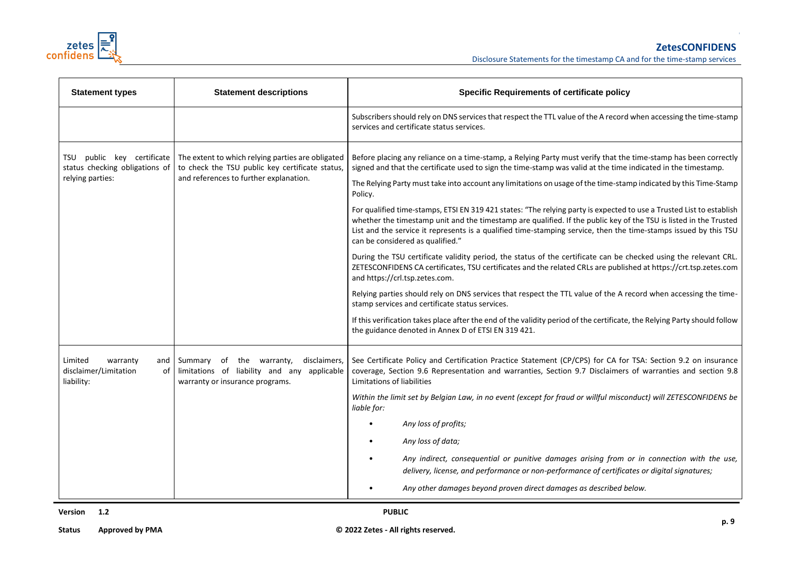

| <b>Statement types</b>                                                              | <b>Statement descriptions</b>                                                                                                                  | <b>Specific Requirements of certificate policy</b>                                                                                                                                                                                                                                                                                                                                                                                                                                                                                                                                                                                                                                                                                                                                                                                                                                                                                                                                                                                                                                                                                                                                                                                                                                                                                                                                                       |  |
|-------------------------------------------------------------------------------------|------------------------------------------------------------------------------------------------------------------------------------------------|----------------------------------------------------------------------------------------------------------------------------------------------------------------------------------------------------------------------------------------------------------------------------------------------------------------------------------------------------------------------------------------------------------------------------------------------------------------------------------------------------------------------------------------------------------------------------------------------------------------------------------------------------------------------------------------------------------------------------------------------------------------------------------------------------------------------------------------------------------------------------------------------------------------------------------------------------------------------------------------------------------------------------------------------------------------------------------------------------------------------------------------------------------------------------------------------------------------------------------------------------------------------------------------------------------------------------------------------------------------------------------------------------------|--|
|                                                                                     |                                                                                                                                                | Subscribers should rely on DNS services that respect the TTL value of the A record when accessing the time-stamp<br>services and certificate status services.                                                                                                                                                                                                                                                                                                                                                                                                                                                                                                                                                                                                                                                                                                                                                                                                                                                                                                                                                                                                                                                                                                                                                                                                                                            |  |
| public key certificate<br>TSU<br>status checking obligations of<br>relying parties: | The extent to which relying parties are obligated<br>to check the TSU public key certificate status,<br>and references to further explanation. | Before placing any reliance on a time-stamp, a Relying Party must verify that the time-stamp has been correctly<br>signed and that the certificate used to sign the time-stamp was valid at the time indicated in the timestamp.<br>The Relying Party must take into account any limitations on usage of the time-stamp indicated by this Time-Stamp<br>Policy.<br>For qualified time-stamps, ETSI EN 319 421 states: "The relying party is expected to use a Trusted List to establish<br>whether the timestamp unit and the timestamp are qualified. If the public key of the TSU is listed in the Trusted<br>List and the service it represents is a qualified time-stamping service, then the time-stamps issued by this TSU<br>can be considered as qualified."<br>During the TSU certificate validity period, the status of the certificate can be checked using the relevant CRL.<br>ZETESCONFIDENS CA certificates, TSU certificates and the related CRLs are published at https://crt.tsp.zetes.com<br>and https://crl.tsp.zetes.com.<br>Relying parties should rely on DNS services that respect the TTL value of the A record when accessing the time-<br>stamp services and certificate status services.<br>If this verification takes place after the end of the validity period of the certificate, the Relying Party should follow<br>the guidance denoted in Annex D of ETSI EN 319 421. |  |
| Limited<br>warranty<br>and<br>disclaimer/Limitation<br>of<br>liability:             | disclaimers,<br>Summary of the warranty,<br>limitations of liability and any applicable<br>warranty or insurance programs.                     | See Certificate Policy and Certification Practice Statement (CP/CPS) for CA for TSA: Section 9.2 on insurance<br>coverage, Section 9.6 Representation and warranties, Section 9.7 Disclaimers of warranties and section 9.8<br>Limitations of liabilities<br>Within the limit set by Belgian Law, in no event (except for fraud or willful misconduct) will ZETESCONFIDENS be<br>liable for:<br>Any loss of profits;<br>Any loss of data;<br>Any indirect, consequential or punitive damages arising from or in connection with the use,<br>delivery, license, and performance or non-performance of certificates or digital signatures;<br>Any other damages beyond proven direct damages as described below.                                                                                                                                                                                                                                                                                                                                                                                                                                                                                                                                                                                                                                                                                           |  |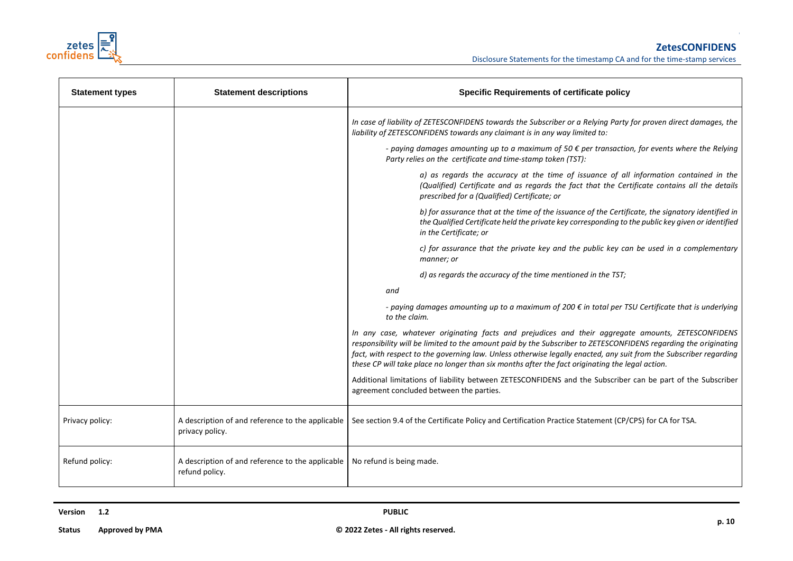

| <b>Statement types</b> | <b>Statement descriptions</b>                                       | <b>Specific Requirements of certificate policy</b>                                                                                                                                                                                                                                                                                                                                                                                            |
|------------------------|---------------------------------------------------------------------|-----------------------------------------------------------------------------------------------------------------------------------------------------------------------------------------------------------------------------------------------------------------------------------------------------------------------------------------------------------------------------------------------------------------------------------------------|
|                        |                                                                     | In case of liability of ZETESCONFIDENS towards the Subscriber or a Relying Party for proven direct damages, the<br>liability of ZETESCONFIDENS towards any claimant is in any way limited to:                                                                                                                                                                                                                                                 |
|                        |                                                                     | - paying damages amounting up to a maximum of 50 $\epsilon$ per transaction, for events where the Relying<br>Party relies on the certificate and time-stamp token (TST):                                                                                                                                                                                                                                                                      |
|                        |                                                                     | a) as regards the accuracy at the time of issuance of all information contained in the<br>(Qualified) Certificate and as regards the fact that the Certificate contains all the details<br>prescribed for a (Qualified) Certificate; or                                                                                                                                                                                                       |
|                        |                                                                     | b) for assurance that at the time of the issuance of the Certificate, the signatory identified in<br>the Qualified Certificate held the private key corresponding to the public key given or identified<br>in the Certificate; or                                                                                                                                                                                                             |
|                        |                                                                     | c) for assurance that the private key and the public key can be used in a complementary<br>manner; or                                                                                                                                                                                                                                                                                                                                         |
|                        |                                                                     | d) as regards the accuracy of the time mentioned in the TST;                                                                                                                                                                                                                                                                                                                                                                                  |
|                        |                                                                     | and                                                                                                                                                                                                                                                                                                                                                                                                                                           |
|                        |                                                                     | - paying damages amounting up to a maximum of 200 € in total per TSU Certificate that is underlying<br>to the claim.                                                                                                                                                                                                                                                                                                                          |
|                        |                                                                     | In any case, whatever originating facts and prejudices and their aggregate amounts, ZETESCONFIDENS<br>responsibility will be limited to the amount paid by the Subscriber to ZETESCONFIDENS regarding the originating<br>fact, with respect to the governing law. Unless otherwise legally enacted, any suit from the Subscriber regarding<br>these CP will take place no longer than six months after the fact originating the legal action. |
|                        |                                                                     | Additional limitations of liability between ZETESCONFIDENS and the Subscriber can be part of the Subscriber<br>agreement concluded between the parties.                                                                                                                                                                                                                                                                                       |
| Privacy policy:        | A description of and reference to the applicable<br>privacy policy. | See section 9.4 of the Certificate Policy and Certification Practice Statement (CP/CPS) for CA for TSA.                                                                                                                                                                                                                                                                                                                                       |
| Refund policy:         | A description of and reference to the applicable<br>refund policy.  | No refund is being made.                                                                                                                                                                                                                                                                                                                                                                                                                      |